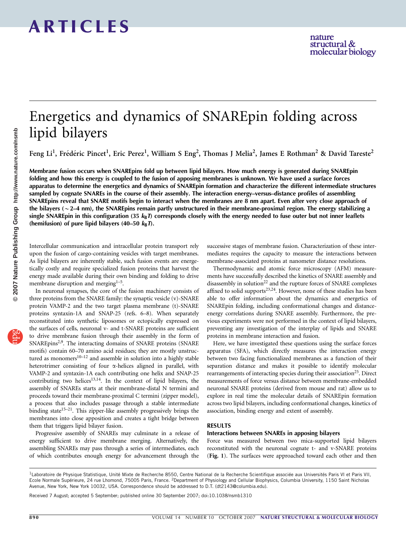## Energetics and dynamics of SNAREpin folding across lipid bilayers

Feng Li<sup>1</sup>, Frédéric Pincet<sup>1</sup>, Eric Perez<sup>1</sup>, William S Eng<sup>2</sup>, Thomas J Melia<sup>2</sup>, James E Rothman<sup>2</sup> & David Tareste<sup>2</sup>

Membrane fusion occurs when SNAREpins fold up between lipid bilayers. How much energy is generated during SNAREpin folding and how this energy is coupled to the fusion of apposing membranes is unknown. We have used a surface forces apparatus to determine the energetics and dynamics of SNAREpin formation and characterize the different intermediate structures sampled by cognate SNAREs in the course of their assembly. The interaction energy–versus–distance profiles of assembling SNAREpins reveal that SNARE motifs begin to interact when the membranes are 8 nm apart. Even after very close approach of the bilayers ( $\sim$  2–4 nm), the SNAREpins remain partly unstructured in their membrane-proximal region. The energy stabilizing a single SNAREpin in this configuration (35  $k_B T$ ) corresponds closely with the energy needed to fuse outer but not inner leaflets (hemifusion) of pure lipid bilayers (40–50  $k_B T$ ).

Intercellular communication and intracellular protein transport rely upon the fusion of cargo-containing vesicles with target membranes. As lipid bilayers are inherently stable, such fusion events are energetically costly and require specialized fusion proteins that harvest the energy made available during their own binding and folding to drive membrane disruption and merging $1-5$ .

In neuronal synapses, the core of the fusion machinery consists of three proteins from the SNARE family: the synaptic vesicle (v)-SNARE protein VAMP-2 and the two target plasma membrane (t)-SNARE proteins syntaxin-1A and SNAP-25 (refs. 6–8). When separately reconstituted into synthetic liposomes or ectopically expressed on the surfaces of cells, neuronal v- and t-SNARE proteins are sufficient to drive membrane fusion through their assembly in the form of SNAREpins<sup>2,9</sup>. The interacting domains of SNARE proteins (SNARE motifs) contain 60–70 amino acid residues; they are mostly unstructured as monomers $10-12$  and assemble in solution into a highly stable heterotrimer consisting of four a-helices aligned in parallel, with VAMP-2 and syntaxin-1A each contributing one helix and SNAP-25 contributing two helices<sup>13,14</sup>. In the context of lipid bilayers, the assembly of SNAREs starts at their membrane-distal N termini and proceeds toward their membrane-proximal C termini (zipper model), a process that also includes passage through a stable intermediate binding state<sup>15-21</sup>. This zipper-like assembly progressively brings the membranes into close apposition and creates a tight bridge between them that triggers lipid bilayer fusion.

Progressive assembly of SNAREs may culminate in a release of energy sufficient to drive membrane merging. Alternatively, the assembling SNAREs may pass through a series of intermediates, each of which contributes enough energy for advancement through the

successive stages of membrane fusion. Characterization of these intermediates requires the capacity to measure the interactions between membrane-associated proteins at nanometer distance resolutions.

Thermodynamic and atomic force microscopy (AFM) measurements have successfully described the kinetics of SNARE assembly and disassembly in solution<sup>[22](#page-5-0)</sup> and the rupture forces of SNARE complexes affixed to solid supports<sup>23,24</sup>. However, none of these studies has been able to offer information about the dynamics and energetics of SNAREpin folding, including conformational changes and distanceenergy correlations during SNARE assembly. Furthermore, the previous experiments were not performed in the context of lipid bilayers, preventing any investigation of the interplay of lipids and SNARE proteins in membrane interaction and fusion.

Here, we have investigated these questions using the surface forces apparatus (SFA), which directly measures the interaction energy between two facing functionalized membranes as a function of their separation distance and makes it possible to identify molecular rearrangements of interacting species during their association<sup>25</sup>. Direct measurements of force versus distance between membrane-embedded neuronal SNARE proteins (derived from mouse and rat) allow us to explore in real time the molecular details of SNAREpin formation across two lipid bilayers, including conformational changes, kinetics of association, binding energy and extent of assembly.

#### RESULTS

#### Interactions between SNAREs in apposing bilayers

Force was measured between two mica-supported lipid bilayers reconstituted with the neuronal cognate t- and v-SNARE proteins (Fig. 1). The surfaces were approached toward each other and then

Received 7 August; accepted 5 September; published online 30 September 2007; [doi:10.1038/nsmb1310](http://www.nature.com/doifinder/10.1038/nsmb1310)

<sup>&</sup>lt;sup>1</sup>Laboratoire de Physique Statistique, Unité Mixte de Recherche 8550, Centre National de la Recherche Scientifique associée aux Universités Paris VI et Paris VII, Ecole Normale Supérieure, 24 rue Lhomond, 75005 Paris, France. <sup>2</sup>Department of Physiology and Cellular Biophysics, Columbia University, 1150 Saint Nicholas Avenue, New York, New York 10032, USA. Correspondence should be addressed to D.T. [\(dt2143@columbia.edu](mailto:dt2143@columbia.edu)).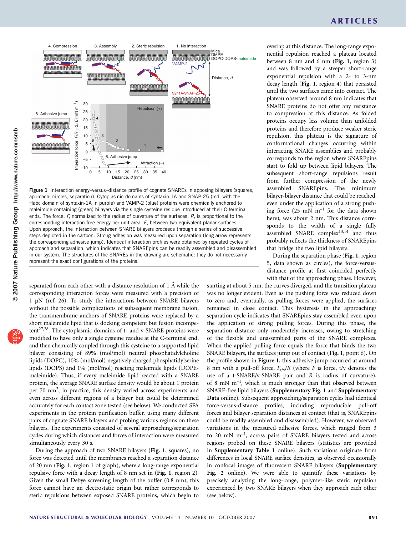

Figure 1 Interaction energy-versus-distance profile of cognate SNAREs in apposing bilayers (squares, approach; circles, separation). Cytoplasmic domains of syntaxin-1A and SNAP-25 (red, with the Habc domain of syntaxin-1A in purple) and VAMP-2 (blue) proteins were chemically anchored to maleimide-containing (green) bilayers via the single cysteine residue introduced at their C-terminal ends. The force, F, normalized to the radius of curvature of the surfaces, R, is proportional to the corresponding interaction free energy per unit area, E, between two equivalent planar surfaces. Upon approach, the interaction between SNARE bilayers proceeds through a series of successive steps depicted in the cartoon. Strong adhesion was measured upon separation (long arrow represents the corresponding adhesive jump). Identical interaction profiles were obtained by repeated cycles of approach and separation, which indicates that SNAREpins can be readily assembled and disassembled in our system. The structures of the SNAREs in the drawing are schematic; they do not necessarily represent the exact configurations of the proteins.

separated from each other with a distance resolution of 1 Å while the corresponding interaction forces were measured with a precision of 1 µN (ref. 26). To study the interactions between SNARE bilayers without the possible complications of subsequent membrane fusion, the transmembrane anchors of SNARE proteins were replaced by a short maleimide lipid that is docking competent but fusion incompetent<sup>27,28</sup>. The cytoplasmic domains of t- and v-SNARE proteins were modified to have only a single cysteine residue at the C-terminal end, and then chemically coupled through this cysteine to a supported lipid bilayer consisting of 89% (mol/mol) neutral phosphatidylcholine lipids (DOPC), 10% (mol/mol) negatively charged phosphatidylserine lipids (DOPS) and 1% (mol/mol) reacting maleimide lipids (DOPEmaleimide). Thus, if every maleimide lipid reacted with a SNARE protein, the average SNARE surface density would be about 1 protein per 70 nm<sup>2</sup>; in practice, this density varied across experiments and even across different regions of a bilayer but could be determined accurately for each contact zone tested (see below). We conducted SFA experiments in the protein purification buffer, using many different pairs of cognate SNARE bilayers and probing various regions on these bilayers. The experiments consisted of several approaching/separation cycles during which distances and forces of interaction were measured simultaneously every 30 s.

During the approach of two SNARE bilayers (Fig. 1, squares), no force was detected until the membranes reached a separation distance of 20 nm (Fig. 1, region 1 of graph), where a long-range exponential repulsive force with a decay length of 8 nm set in (Fig. 1, region 2). Given the small Debye screening length of the buffer (0.8 nm), this force cannot have an electrostatic origin but rather corresponds to steric repulsions between exposed SNARE proteins, which begin to

overlap at this distance. The long-range exponential repulsion reached a plateau located between 8 nm and 6 nm (Fig. 1, region 3) and was followed by a steeper short-range exponential repulsion with a 2- to 3-nm decay length (Fig. 1, region 4) that persisted until the two surfaces came into contact. The plateau observed around 8 nm indicates that SNARE proteins do not offer any resistance to compression at this distance. As folded proteins occupy less volume than unfolded proteins and therefore produce weaker steric repulsion, this plateau is the signature of conformational changes occurring within interacting SNARE assemblies and probably corresponds to the region where SNAREpins start to fold up between lipid bilayers. The subsequent short-range repulsions result from further compression of the newly assembled SNAREpins. The minimum bilayer-bilayer distance that could be reached, even under the application of a strong pushing force  $(25 \text{ mN m}^{-1})$  for the data shown here), was about 2 nm. This distance corresponds to the width of a single fully assembled SNARE complex<sup>13,14</sup> and thus probably reflects the thickness of SNAREpins that bridge the two lipid bilayers.

During the separation phase (Fig. 1, region 5, data shown as circles), the force-versusdistance profile at first coincided perfectly with that of the approaching phase. However,

starting at about 5 nm, the curves diverged, and the transition plateau was no longer evident. Even as the pushing force was reduced down to zero and, eventually, as pulling forces were applied, the surfaces remained in close contact. This hysteresis in the approaching/ separation cycle indicates that SNAREpins stay assembled even upon the application of strong pulling forces. During this phase, the separation distance only moderately increases, owing to stretching of the flexible and unassembled parts of the SNARE complexes. When the applied pulling force equals the force that binds the two SNARE bilayers, the surfaces jump out of contact (Fig. 1, point 6). On the profile shown in Figure 1, this adhesive jump occurred at around 8 nm with a pull-off force,  $F_{t/v}/R$  (where F is force, t/v denotes the use of a t-SNARE/v-SNARE pair and R is radius of curvature), of 8 mN  $m^{-1}$ , which is much stronger than that observed between SNARE-free lipid bilayers (Supplementary Fig. 1 and Supplementary Data online). Subsequent approaching/separation cycles had identical force-versus-distance profiles, including reproducible pull-off forces and bilayer separation distances at contact (that is, SNAREpins could be readily assembled and disassembled). However, we observed variations in the measured adhesive forces, which ranged from 3 to 20 mN m–1, across pairs of SNARE bilayers tested and across regions probed on these SNARE bilayers (statistics are provided in Supplementary Table 1 online). Such variations originate from differences in local SNARE surface densities, as observed occasionally in confocal images of fluorescent SNARE bilayers (Supplementary Fig. 2 online). We were able to quantify these variations by precisely analyzing the long-range, polymer-like steric repulsion experienced by two SNARE bilayers when they approach each other (see below).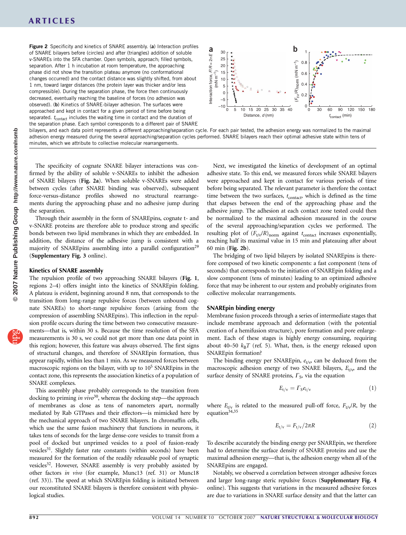Figure 2 Specificity and kinetics of SNARE assembly. (a) Interaction profiles of SNARE bilayers before (circles) and after (triangles) addition of soluble v-SNAREs into the SFA chamber. Open symbols, approach; filled symbols, separation. After 1 h incubation at room temperature, the approaching phase did not show the transition plateau anymore (no conformational changes occurred) and the contact distance was slightly shifted, from about 1 nm, toward larger distances (the protein layer was thicker and/or less compressible). During the separation phase, the force then continuously decreased, eventually reaching the baseline of forces (no adhesion was observed). (b) Kinetics of SNARE-bilayer adhesion. The surfaces were approached and kept in contact for a given period of time before being separated.  $t_{\text{contact}}$  includes the waiting time in contact and the duration of the separation phase. Each symbol corresponds to a different pair of SNARE



bilayers, and each data point represents a different approaching/separation cycle. For each pair tested, the adhesion energy was normalized to the maximal adhesion energy measured during the several approaching/separation cycles performed. SNARE bilayers reach their optimal adhesive state within tens of minutes, which we attribute to collective molecular rearrangements.

The specificity of cognate SNARE bilayer interactions was confirmed by the ability of soluble v-SNAREs to inhibit the adhesion of SNARE bilayers (Fig. 2a). When soluble v-SNAREs were added between cycles (after SNARE binding was observed), subsequent force-versus-distance profiles showed no structural rearrangements during the approaching phase and no adhesive jump during the separation.

Through their assembly in the form of SNAREpins, cognate t- and v-SNARE proteins are therefore able to produce strong and specific bonds between two lipid membranes in which they are embedded. In addition, the distance of the adhesive jump is consistent with a majority of SNAREpins assembling into a parallel configuration<sup>29</sup> (Supplementary Fig. 3 online).

#### Kinetics of SNARE assembly

The repulsion profile of two approaching SNARE bilayers (Fig. 1, regions 2–4) offers insight into the kinetics of SNAREpin folding. A plateau is evident, beginning around 8 nm, that corresponds to the transition from long-range repulsive forces (between unbound cognate SNAREs) to short-range repulsive forces (arising from the compression of assembling SNAREpins). This inflection in the repulsion profile occurs during the time between two consecutive measurements—that is, within 30 s. Because the time resolution of the SFA measurements is 30 s, we could not get more than one data point in this region; however, this feature was always observed. The first signs of structural changes, and therefore of SNAREpin formation, thus appear rapidly, within less than 1 min. As we measured forces between macroscopic regions on the bilayer, with up to  $10<sup>5</sup>$  SNAREpins in the contact zone, this represents the association kinetics of a population of SNARE complexes.

This assembly phase probably corresponds to the transition from docking to priming in vivo<sup>[30](#page-6-0)</sup>, whereas the docking step—the approach of membranes as close as tens of nanometers apart, normally mediated by Rab GTPases and their effectors—is mimicked here by the mechanical approach of two SNARE bilayers. In chromaffin cells, which use the same fusion machinery that functions in neurons, it takes tens of seconds for the large dense-core vesicles to transit from a pool of docked but unprimed vesicles to a pool of fusion-ready vesicles<sup>31</sup>. Slightly faster rate constants (within seconds) have been measured for the formation of the readily releasable pool of synaptic vesicles<sup>32</sup>. However, SNARE assembly is very probably assisted by other factors in vivo (for example, Munc13 (ref. 31) or Munc18 (ref. 33)). The speed at which SNAREpin folding is initiated between our reconstituted SNARE bilayers is therefore consistent with physiological studies.

Next, we investigated the kinetics of development of an optimal adhesive state. To this end, we measured forces while SNARE bilayers were approached and kept in contact for various periods of time before being separated. The relevant parameter is therefore the contact time between the two surfaces,  $t_{\text{contact}}$ , which is defined as the time that elapses between the end of the approaching phase and the adhesive jump. The adhesion at each contact zone tested could then be normalized to the maximal adhesion measured in the course of the several approaching/separation cycles we performed. The resulting plot of  $(F_{t/v}/R)_{\text{norm}}$  against  $t_{\text{contact}}$  increases exponentially, reaching half its maximal value in 15 min and plateauing after about 60 min (Fig. 2b).

The bridging of two lipid bilayers by isolated SNAREpins is therefore composed of two kinetic components: a fast component (tens of seconds) that corresponds to the initiation of SNAREpin folding and a slow component (tens of minutes) leading to an optimized adhesive force that may be inherent to our system and probably originates from collective molecular rearrangements.

#### SNAREpin binding energy

Membrane fusion proceeds through a series of intermediate stages that include membrane approach and deformation (with the potential creation of a hemifusion structure), pore formation and pore enlargement. Each of these stages is highly energy consuming, requiring about 40–50  $k_BT$  (ref. 5). What, then, is the energy released upon SNAREpin formation?

The binding energy per SNAREpin,  $e_{t/v}$  can be deduced from the macroscopic adhesion energy of two SNARE bilayers,  $E_{t/v}$  and the surface density of SNARE proteins,  $\Gamma_{\rm S}$ , via the equation

$$
E_{t/v} = \Gamma_S e_{t/v} \tag{1}
$$

where  $E_{t/v}$  is related to the measured pull-off force,  $F_{t/v}$ , by the equation<sup>34,35</sup>

$$
E_{t/v} = F_{t/v}/2\pi R \tag{2}
$$

To describe accurately the binding energy per SNAREpin, we therefore had to determine the surface density of SNARE proteins and use the maximal adhesion energy—that is, the adhesion energy when all of the SNAREpins are engaged.

Notably, we observed a correlation between stronger adhesive forces and larger long-range steric repulsive forces (Supplementary Fig. 4 online). This suggests that variations in the measured adhesive forces are due to variations in SNARE surface density and that the latter can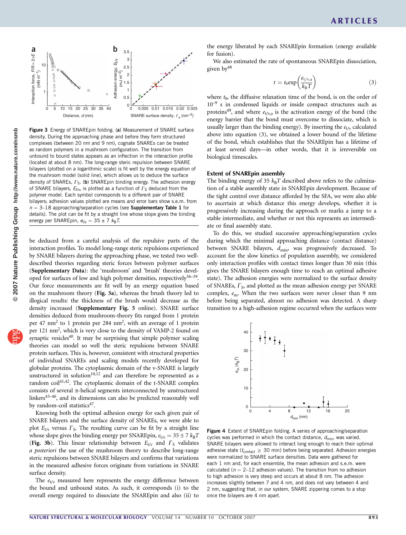

Figure 3 Energy of SNAREpin folding. (a) Measurement of SNARE surface density. During the approaching phase and before they form structured complexes (between 20 nm and 9 nm), cognate SNAREs can be treated as random polymers in a mushroom configuration. The transition from unbound to bound states appears as an inflection in the interaction profile (located at about 8 nm). The long-range steric repulsion between SNARE bilayers (plotted on a logarithmic scale) is fit well by the energy equation of the mushroom model (solid line), which allows us to deduce the surface density of SNAREs,  $\Gamma_{\rm S}$ . (b) SNAREpin binding energy. The adhesion energy of SNARE bilayers,  $E_{t/v}$ , is plotted as a function of  $\Gamma_{\rm S}$  deduced from the polymer model. Each symbol corresponds to a different pair of SNARE bilayers; adhesion values plotted are means and error bars show s.e.m. from  $n = 3-18$  approaching/separation cycles (see Supplementary Table 1 for details). The plot can be fit by a straight line whose slope gives the binding energy per SNAREpin,  $e_{t/v} = 35 \pm 7$   $k_B T$ .

be deduced from a careful analysis of the repulsive parts of the interaction profiles. To model long-range steric repulsions experienced by SNARE bilayers during the approaching phase, we tested two welldescribed theories regarding steric forces between polymer surfaces (Supplementary Data): the 'mushroom' and 'brush' theories developed for surfaces of low and high polymer densities, respectively<sup>36-39</sup>. Our force measurements are fit well by an energy equation based on the mushroom theory (Fig. 3a), whereas the brush theory led to illogical results: the thickness of the brush would decrease as the density increased (Supplementary Fig. 5 online). SNARE surface densities deduced from mushroom-theory fits ranged from 1 protein per 47 nm<sup>2</sup> to 1 protein per 284 nm<sup>2</sup>, with an average of 1 protein per 121 nm<sup>2</sup>, which is very close to the density of VAMP-2 found on synaptic vesicles<sup>[40](#page-6-0)</sup>. It may be surprising that simple polymer scaling theories can model so well the steric repulsions between SNARE protein surfaces. This is, however, consistent with structural properties of individual SNAREs and scaling models recently developed for globular proteins. The cytoplasmic domain of the v-SNARE is largely unstructured in solution<sup>[10,12](#page-5-0)</sup> and can therefore be represented as a random coil $41,42$ . The cytoplasmic domain of the t-SNARE complex consists of several  $\alpha$ -helical segments interconnected by unstructured linkers<sup>43-46</sup>, and its dimensions can also be predicted reasonably well by random-coil statistics $47$ .

Knowing both the optimal adhesion energy for each given pair of SNARE bilayers and the surface density of SNAREs, we were able to plot  $E_{t/v}$  versus  $\Gamma$ <sub>S</sub>. The resulting curve can be fit by a straight line whose slope gives the binding energy per SNAREpin,  $e_{t/v} = 35 \pm 7 k_B T$ (Fig. 3b). This linear relationship between  $E_{t/v}$  and  $\Gamma_S$  validates a posteriori the use of the mushroom theory to describe long-range steric repulsions between SNARE bilayers and confirms that variations in the measured adhesive forces originate from variations in SNARE surface density.

The  $e_{t/v}$  measured here represents the energy difference between the bound and unbound states. As such, it corresponds (i) to the overall energy required to dissociate the SNAREpin and also (ii) to the energy liberated by each SNAREpin formation (energy available for fusion).

We also estimated the rate of spontaneous SNAREpin dissociation, given by<sup>[48](#page-6-0)</sup>

$$
t = t_0 \exp\left(\frac{e_{t/v,a}}{k_B T}\right) \tag{3}
$$

where  $t_0$ , the diffusive relaxation time of the bond, is on the order of 10<sup>-9</sup> s in condensed liquids or inside compact structures such as proteins<sup>[49](#page-6-0)</sup>, and where  $e_{t/v,a}$  is the activation energy of the bond (the energy barrier that the bond must overcome to dissociate, which is usually larger than the binding energy). By inserting the  $e_{t/v}$  calculated above into equation (3), we obtained a lower bound of the lifetime of the bond, which establishes that the SNAREpin has a lifetime of at least several days—in other words, that it is irreversible on biological timescales.

#### Extent of SNAREpin assembly

The binding energy of 35  $k_BT$  described above refers to the culmination of a stable assembly state in SNAREpin development. Because of the tight control over distance afforded by the SFA, we were also able to ascertain at which distance this energy develops, whether it is progressively increasing during the approach or marks a jump to a stable intermediate, and whether or not this represents an intermediate or final assembly state.

To do this, we studied successive approaching/separation cycles during which the minimal approaching distance (contact distance) between SNARE bilayers,  $d_{\text{min}}$ , was progressively decreased. To account for the slow kinetics of population assembly, we considered only interaction profiles with contact times longer than 30 min (this gives the SNARE bilayers enough time to reach an optimal adhesive state). The adhesion energies were normalized to the surface density of SNAREs,  $\Gamma$ <sub>S</sub>, and plotted as the mean adhesion energy per SNARE complex,  $e_m$ . When the two surfaces were never closer than 9 nm before being separated, almost no adhesion was detected. A sharp transition to a high-adhesion regime occurred when the surfaces were



Figure 4 Extent of SNAREpin folding. A series of approaching/separation cycles was performed in which the contact distance,  $d_{\text{min}}$ , was varied. SNARE bilayers were allowed to interact long enough to reach their optimal adhesive state ( $t_{\text{contact}} \geq 30$  min) before being separated. Adhesion energies were normalized to SNARE surface densities. Data were gathered for each 1 nm and, for each ensemble, the mean adhesion and s.e.m. were calculated ( $n = 2-12$  adhesion values). The transition from no adhesion to high adhesion is very steep and occurs at about 8 nm. The adhesion increases slightly between 7 and 4 nm, and does not vary between 4 and 2 nm, suggesting that, in our system, SNARE zippering comes to a stop once the bilayers are 4 nm apart.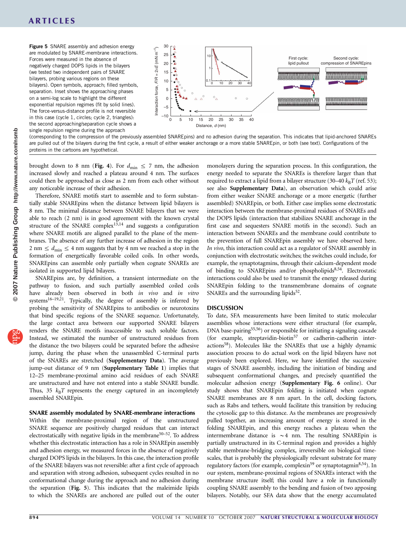Figure 5 SNARE assembly and adhesion energy are modulated by SNARE-membrane interactions. Forces were measured in the absence of negatively charged DOPS lipids in the bilayers (we tested two independent pairs of SNARE bilayers, probing various regions on these bilayers). Open symbols, approach; filled symbols, separation. Inset shows the approaching phases on a semi-log scale to highlight the different exponential repulsion regimes (fit by solid lines). The force-versus-distance profile is not reversible in this case (cycle 1, circles; cycle 2, triangles): the second approaching/separation cycle shows a single repulsion regime during the approach



(corresponding to the compression of the previously assembled SNAREpins) and no adhesion during the separation. This indicates that lipid-anchored SNAREs are pulled out of the bilayers during the first cycle, a result of either weaker anchorage or a more stable SNAREpin, or both (see text). Configurations of the proteins in the cartoons are hypothetical.

brought down to 8 nm (Fig. 4). For  $d_{\text{min}} \le 7$  nm, the adhesion increased slowly and reached a plateau around 4 nm. The surfaces could then be approached as close as 2 nm from each other without any noticeable increase of their adhesion.

Therefore, SNARE motifs start to assemble and to form substantially stable SNAREpins when the distance between lipid bilayers is 8 nm. The minimal distance between SNARE bilayers that we were able to reach (2 nm) is in good agreement with the known crystal structure of the SNARE complex $13,14$  and suggests a configuration where SNARE motifs are aligned parallel to the plane of the membranes. The absence of any further increase of adhesion in the region 2 nm  $\leq d_{\text{min}} \leq 4$  nm suggests that by 4 nm we reached a stop in the formation of energetically favorable coiled coils. In other words, SNAREpins can assemble only partially when cognate SNAREs are isolated in supported lipid bilayers.

SNAREpins are, by definition, a transient intermediate on the pathway to fusion, and such partially assembled coiled coils have already been observed in both in vivo and in vitro systems<sup>16-19,21</sup>. Typically, the degree of assembly is inferred by probing the sensitivity of SNAREpins to antibodies or neurotoxins that bind specific regions of the SNARE sequence. Unfortunately, the large contact area between our supported SNARE bilayers renders the SNARE motifs inaccessible to such soluble factors. Instead, we estimated the number of unstructured residues from the distance the two bilayers could be separated before the adhesive jump, during the phase when the unassembled C-terminal parts of the SNAREs are stretched (Supplementary Data). The average jump-out distance of 9 nm (Supplementary Table 1) implies that 12–25 membrane-proximal amino acid residues of each SNARE are unstructured and have not entered into a stable SNARE bundle. Thus, 35  $k_BT$  represents the energy captured in an incompletely assembled SNAREpin.

#### SNARE assembly modulated by SNARE-membrane interactions

Within the membrane-proximal region of the unstructured SNARE sequence are positively charged residues that can interact electrostatically with negative lipids in the membrane<sup>50–52</sup>. To address whether this electrostatic interaction has a role in SNAREpin assembly and adhesion energy, we measured forces in the absence of negatively charged DOPS lipids in the bilayers. In this case, the interaction profile of the SNARE bilayers was not reversible: after a first cycle of approach and separation with strong adhesion, subsequent cycles resulted in no conformational change during the approach and no adhesion during the separation (Fig. 5). This indicates that the maleimide lipids to which the SNAREs are anchored are pulled out of the outer

monolayers during the separation process. In this configuration, the energy needed to separate the SNAREs is therefore larger than that required to extract a lipid from a bilayer structure (30–40  $k_BT$  (ref. 53); see also Supplementary Data), an observation which could arise from either weaker SNARE anchorage or a more energetic (further assembled) SNAREpin, or both. Either case implies some electrostatic interaction between the membrane-proximal residues of SNAREs and the DOPS lipids (interaction that stabilizes SNARE anchorage in the first case and sequesters SNARE motifs in the second). Such an interaction between SNAREs and the membrane could contribute to the prevention of full SNAREpin assembly we have observed here. In vivo, this interaction could act as a regulator of SNARE assembly in conjunction with electrostatic switches; the switches could include, for example, the synaptotagmins, through their calcium-dependent mode of binding to SNAREpins and/or phospholipids<sup>8,54</sup>. Electrostatic interactions could also be used to transmit the energy released during SNAREpin folding to the transmembrane domains of cognate SNAREs and the surrounding lipids $52$ .

#### DISCUSSION

To date, SFA measurements have been limited to static molecular assemblies whose interactions were either structural (for example, DNA base-pairing<sup>55,56</sup>) or responsible for initiating a signaling cascade (for example, streptavidin-biotin<sup>57</sup> or cadherin-cadherin interactions<sup>58</sup>). Molecules like the SNAREs that use a highly dynamic association process to do actual work on the lipid bilayers have not previously been explored. Here, we have identified the successive stages of SNARE assembly, including the initiation of binding and subsequent conformational changes, and precisely quantified the molecular adhesion energy (Supplementary Fig. 6 online). Our study shows that SNAREpin folding is initiated when cognate SNARE membranes are 8 nm apart. In the cell, docking factors, such as Rabs and tethers, would facilitate this transition by reducing the cytosolic gap to this distance. As the membranes are progressively pulled together, an increasing amount of energy is stored in the folding SNAREpin, and this energy reaches a plateau when the intermembrane distance is  $\sim$  4 nm. The resulting SNAREpin is partially unstructured in its C-terminal region and provides a highly stable membrane-bridging complex, irreversible on biological timescales, that is probably the physiologically relevant substrate for many regulatory factors (for example, complexin<sup>59</sup> or synaptotagmin<sup>8,54</sup>). In our system, membrane-proximal regions of SNAREs interact with the membrane structure itself; this could have a role in functionally coupling SNARE assembly to the bending and fusion of two apposing bilayers. Notably, our SFA data show that the energy accumulated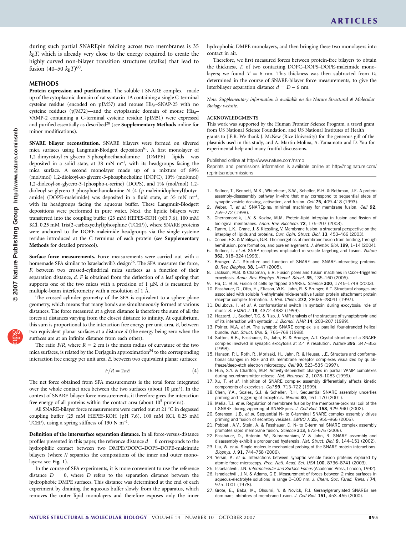<span id="page-5-0"></span>during such partial SNAREpin folding across two membranes is 35  $k_B T$ , which is already very close to the energy required to create the highly curved non-bilayer transition structures (stalks) that lead to fusion (40–50  $k_BT$ )<sup>60</sup>.

#### **METHODS**

Protein expression and purification. The soluble t-SNARE complex-made up of the cytoplasmic domain of rat syntaxin-1A containing a single C-terminal cysteine residue (encoded on pJM57) and mouse  $His<sub>6</sub>-SNAP-25$  with no cysteine residues (pJM72)—and the cytoplasmic domain of mouse  $His<sub>6</sub>$ VAMP-2 containing a C-terminal cysteine residue (pJM51) were expressed and purified essentially as described $28$  (see Supplementary Methods online for minor modifications).

SNARE bilayer reconstitution. SNARE bilayers were formed on silvered mica surfaces using Langmuir-Blodgett deposition<sup>61</sup>. A first monolayer of 1,2-dimyristoyl-sn-glycero-3-phosphoethanolamine (DMPE) lipids was deposited in a solid state, at 38 mN  $m^{-1}$ , with its headgroups facing the mica surface. A second monolayer made up of a mixture of 89% (mol/mol) 1,2-dioleoyl-sn-glycero-3-phosphocholine (DOPC), 10% (mol/mol) 1,2-dioleoyl-sn-glycero-3-(phospho-L-serine) (DOPS), and 1% (mol/mol) 1,2 dioleoyl-sn-glycero-3-phosphoethanolamine-N-(4-(p-maleimidophenyl)butyramide) (DOPE-maleimide) was deposited in a fluid state, at 35 mN  $m^{-1}$ , with its headgroups facing the aqueous buffer. These Langmuir-Blodgett depositions were performed in pure water. Next, the lipidic bilayers were transferred into the coupling buffer (25 mM HEPES-KOH (pH 7.6), 100 mM KCl, 0.25 mM Tris(2-carboxyethyl)phosphine (TCEP)), where SNARE proteins were anchored to the DOPE-maleimide headgroups via the single cysteine residue introduced at the C terminus of each protein (see Supplementary Methods for detailed protocol).

Surface force measurements. Force measurements were carried out with a homemade SFA similar to Israelachvili's design<sup>26</sup>. The SFA measures the force, F, between two crossed-cylindrical mica surfaces as a function of their separation distance,  $d$ . F is obtained from the deflection of a leaf spring that supports one of the two micas with a precision of  $1 \mu N$ . d is measured by multiple-beam interferometry with a resolution of 1 Å.

The crossed-cylinder geometry of the SFA is equivalent to a sphere-plane geometry, which means that many bonds are simultaneously formed at various distances. The force measured at a given distance is therefore the sum of all the forces at distances varying from the closest distance to infinity. At equilibrium, this sum is proportional to the interaction free energy per unit area, E, between two equivalent planar surfaces at a distance  $d$  (the energy being zero when the surfaces are at an infinite distance from each other).

The ratio  $F/R$ , where  $R = 2$  cm is the mean radius of curvature of the two mica surfaces, is related by the Derjaguin approximation<sup>34</sup> to the corresponding interaction free energy per unit area, E, between two equivalent planar surfaces:

$$
F/R = 2\pi E \tag{4}
$$

The net force obtained from SFA measurements is the total force integrated over the whole contact area between the two surfaces (about 10  $\mu$ m<sup>2</sup>). In the context of SNARE-bilayer force measurements, it therefore gives the interaction free energy of all proteins within the contact area (about 10<sup>5</sup> proteins).

All SNARE-bilayer force measurements were carried out at 21  $^{\circ}$ C in degassed coupling buffer (25 mM HEPES-KOH (pH 7.6), 100 mM KCl, 0.25 mM TCEP), using a spring stiffness of 130 N  $m^{-1}$ .

Definition of the intersurface separation distance. In all force-versus-distance profiles presented in this paper, the reference distance  $d = 0$  corresponds to the hydrophilic contact between two DMPE//DOPC–DOPS–DOPE-maleimide bilayers (where // separates the compositions of the inner and outer monolayers; see Fig. 1).

In the course of SFA experiments, it is more convenient to use the reference distance  $D = 0$ , where D refers to the separation distance between the hydrophobic DMPE surfaces. This distance was determined at the end of each experiment by draining the aqueous buffer slowly from the apparatus, which removes the outer lipid monolayers and therefore exposes only the inner

hydrophobic DMPE monolayers, and then bringing these two monolayers into contact in air.

Therefore, we first measured forces between protein-free bilayers to obtain the thickness, T, of two contacting DOPC–DOPS–DOPE-maleimide monolayers; we found  $T = 6$  nm. This thickness was then subtracted from D, determined in the course of SNARE-bilayer force measurements, to give the interbilayer separation distance  $d = D - 6$  nm.

Note: Supplementary information is available on the [Nature Structural](http://www.nature.com/nsmb) *&* [Molecular](http://www.nature.com/nsmb) [Biology](http://www.nature.com/nsmb) website.

#### ACKNOWLEDGMENTS

This work was supported by the Human Frontier Science Program, a travel grant from US National Science Foundation, and US National Institutes of Health grants to J.E.R. We thank J. McNew (Rice University) for the generous gift of the plasmids used in this study, and A. Martin-Molina, A. Yamamoto and D. You for experimental help and many fruitful discussions.

Published online at<http://www.nature.com/nsmb>

Reprints and permissions information is available online at [http://npg.nature.com/](http://npg.nature.com/reprintsandpermissions) [reprintsandpermissions](http://npg.nature.com/reprintsandpermissions)

- 1. Sollner, T., Bennett, M.K., Whiteheart, S.W., Scheller, R.H. & Rothman, J.E. A protein assembly-disassembly pathway in-vitro that may correspond to sequential steps of synaptic vesicle docking, activation, and fusion. Cell 75, 409-418 (1993).
- 2. Weber, T. et al. SNAREpins: minimal machinery for membrane fusion. Cell 92, 759–772 (1998).
- 3. Chernomordik, L.V. & Kozlov, M.M. Protein-lipid interplay in fusion and fission of biological membranes. Annu. Rev. Biochem. 72, 175–207 (2003).
- 4. Tamm, L.K., Crane, J. & Kiessling, V. Membrane fusion: a structural perspective on the interplay of lipids and proteins. Curr. Opin. Struct. Biol. 13, 453-466 (2003).
- 5. Cohen, F.S. & Melikyan, G.B. The energetics of membrane fusion from binding, through hemifusion, pore formation, and pore enlargement. J. Membr. Biol. 199, 1-14 (2004).
- 6. Sollner, T. et al. SNAP receptors implicated in vesicle targeting and fusion. Nature 362, 318–324 (1993).
- Brunger, A.T. Structure and function of SNARE and SNARE-interacting proteins. Q. Rev. Biophys. 38, 1–47 (2005).
- 8. Jackson, M.B. & Chapman, E.R. Fusion pores and fusion machines in Ca2+-triggered exocytosis. Annu. Rev. Biophys. Biomol. Struct. 35, 135–160 (2006).
- 9. Hu, C. et al. Fusion of cells by flipped SNAREs. Science 300, 1745-1749 (2003).
- 10. Fasshauer, D., Otto, H., Eliason, W.K., Jahn, R. & Brunger, A.T. Structural changes are associated with soluble N-ethylmaleimide-sensitive fusion protein attachment protein receptor complex formation. J. Biol. Chem. 272, 28036–28041 (1997).
- 11. Dulubova, I. et al. A conformational switch in syntaxin during exocytosis: role of munc18. EMBO J. 18, 4372-4382 (1999).
- 12. Hazzard, J., Sudhof, T.C. & Rizo, J. NMR analysis of the structure of synaptobrevin and of its interaction with syntaxin. J. Biomol. NMR 14, 203-207 (1999).
- 13. Poirier, M.A. et al. The synaptic SNARE complex is a parallel four-stranded helical bundle. Nat. Struct. Biol. 5, 765–769 (1998).
- 14. Sutton, R.B., Fasshauer, D., Jahn, R. & Brunger, A.T. Crystal structure of a SNARE complex involved in synaptic exocytosis at 2.4 Å resolution. Nature 395, 347-353 (1998).
- 15. Hanson, P.I., Roth, R., Morisaki, H., Jahn, R. & Heuser, J.E. Structure and conformational changes in NSF and its membrane receptor complexes visualized by quickfreeze/deep-etch electron microscopy. Cell 90, 523-535 (1997).
- 16. Hua, S.Y. & Charlton, M.P. Activity-dependent changes in partial VAMP complexes during neurotransmitter release. Nat. Neurosci. 2, 1078-1083 (1999).
- 17. Xu, T. et al. Inhibition of SNARE complex assembly differentially affects kinetic components of exocytosis. Cell 99, 713–722 (1999).
- 18. Chen, Y.A., Scales, S.J. & Scheller, R.H. Sequential SNARE assembly underlies priming and triggering of exocytosis. Neuron 30, 161-170 (2001).
- 19. Melia, T.J. et al. Regulation of membrane fusion by the membrane-proximal coil of the t-SNARE during zippering of SNAREpins. J. Cell Biol. 158, 929–940 (2002).
- 20. Sorensen, J.B. et al. Sequential N- to C-terminal SNARE complex assembly drives priming and fusion of secretory vesicles. EMBO J. 25, 955-966 (2006).
- 21. Pobbati, A.V., Stein, A. & Fasshauer, D. N- to C-terminal SNARE complex assembly promotes rapid membrane fusion. Science 313, 673-676 (2006).
- 22. Fasshauer, D., Antonin, W., Subramaniam, V. & Jahn, R. SNARE assembly and disassembly exhibit a pronounced hysteresis. Nat. Struct. Biol. 9, 144-151 (2002).
- 23. Liu, W. et al. Single molecule mechanical probing of the SNARE protein interactions. Biophys. J. 91, 744–758 (2006).
- 24. Yersin, A. et al. Interactions between synaptic vesicle fusion proteins explored by atomic force microscopy. Proc. Natl. Acad. Sci. USA 100, 8736-8741 (2003).
- 25. Israelachvili, J.N. Intermolecular and Surface Forces (Academic Press, London, 1992).
- 26. Israelachvili, J.N. & Adams, G.E. Measurement of forces between 2 mica surfaces in aqueous-electrolyte solutions in range 0-100 nm. J. Chem. Soc. Farad. Trans. I 74, 975–1001 (1978).
- 27. Grote, E., Baba, M., Ohsumi, Y. & Novick, P.J. Geranylgeranylated SNAREs are dominant inhibitors of membrane fusion. J. Cell Biol. 151, 453-465 (2000).